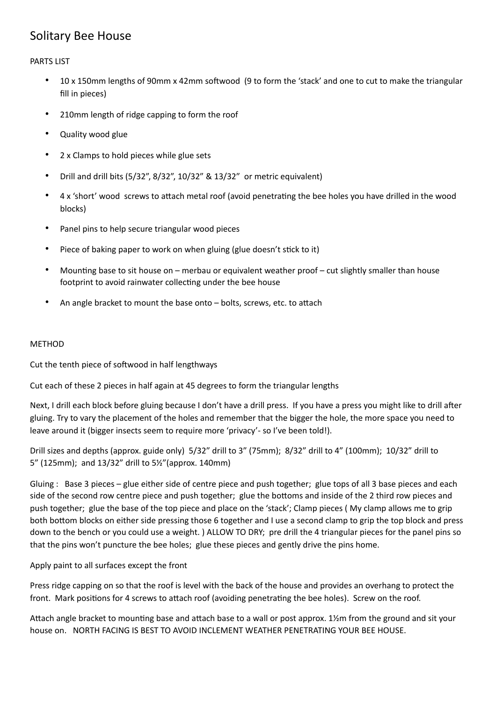## Solitary Bee House

PARTS LIST

- 10 x 150mm lengths of 90mm x 42mm softwood (9 to form the 'stack' and one to cut to make the triangular fill in pieces)
- 210mm length of ridge capping to form the roof
- Quality wood glue
- 2 x Clamps to hold pieces while glue sets
- Drill and drill bits (5/32", 8/32", 10/32" & 13/32" or metric equivalent)
- 4 x 'short' wood screws to attach metal roof (avoid penetrating the bee holes you have drilled in the wood blocks)
- Panel pins to help secure triangular wood pieces
- Piece of baking paper to work on when gluing (glue doesn't stick to it)
- Mounting base to sit house on merbau or equivalent weather proof cut slightly smaller than house footprint to avoid rainwater collecting under the bee house
- An angle bracket to mount the base onto  $-$  bolts, screws, etc. to attach

## METHOD

Cut the tenth piece of softwood in half lengthways

Cut each of these 2 pieces in half again at 45 degrees to form the triangular lengths

Next, I drill each block before gluing because I don't have a drill press. If you have a press you might like to drill after gluing. Try to vary the placement of the holes and remember that the bigger the hole, the more space you need to leave around it (bigger insects seem to require more 'privacy'- so I've been told!).

Drill sizes and depths (approx. guide only) 5/32" drill to 3" (75mm); 8/32" drill to 4" (100mm); 10/32" drill to 5" (125mm); and 13/32" drill to 5½"(approx. 140mm)

Gluing : Base 3 pieces – glue either side of centre piece and push together; glue tops of all 3 base pieces and each side of the second row centre piece and push together; glue the bottoms and inside of the 2 third row pieces and push together; glue the base of the top piece and place on the 'stack'; Clamp pieces ( My clamp allows me to grip both bottom blocks on either side pressing those 6 together and I use a second clamp to grip the top block and press down to the bench or you could use a weight. ) ALLOW TO DRY; pre drill the 4 triangular pieces for the panel pins so that the pins won't puncture the bee holes; glue these pieces and gently drive the pins home.

## Apply paint to all surfaces except the front

Press ridge capping on so that the roof is level with the back of the house and provides an overhang to protect the front. Mark positions for 4 screws to attach roof (avoiding penetrating the bee holes). Screw on the roof.

Attach angle bracket to mounting base and attach base to a wall or post approx. 1½m from the ground and sit your house on. NORTH FACING IS BEST TO AVOID INCLEMENT WEATHER PENETRATING YOUR BEE HOUSE.